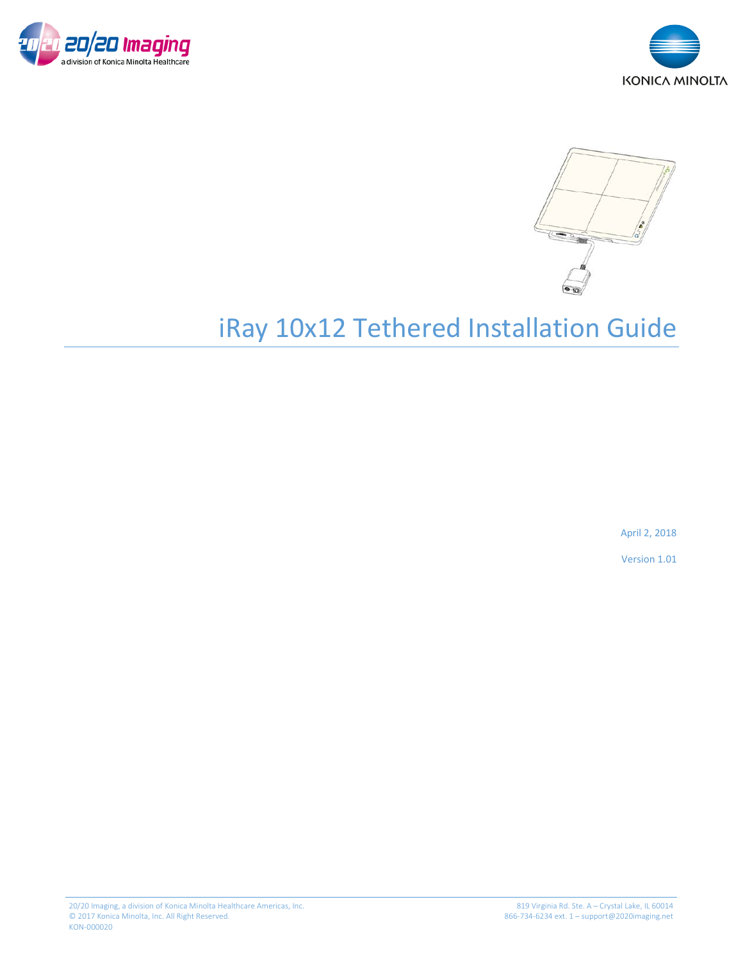





# iRay 10x12 Tethered Installation Guide

April 2, 2018

Version 1.01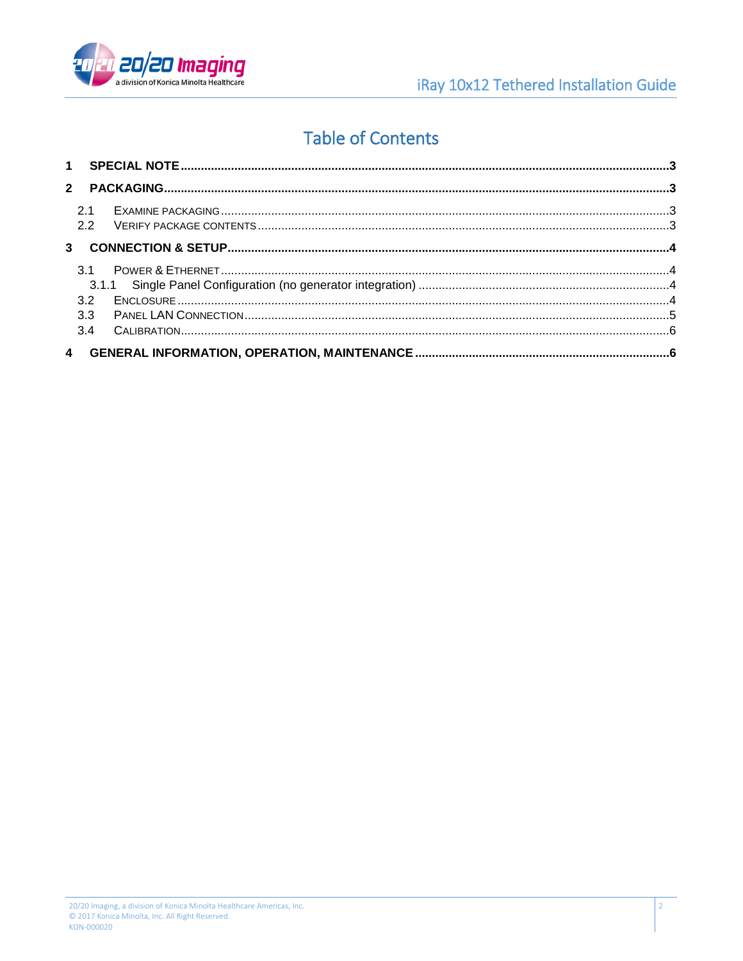

 $\overline{2}$ 

## **Table of Contents**

| 21              |  |
|-----------------|--|
| 2.2             |  |
| $\overline{31}$ |  |
| 3.2             |  |
| 3.3             |  |
| 3.4             |  |
|                 |  |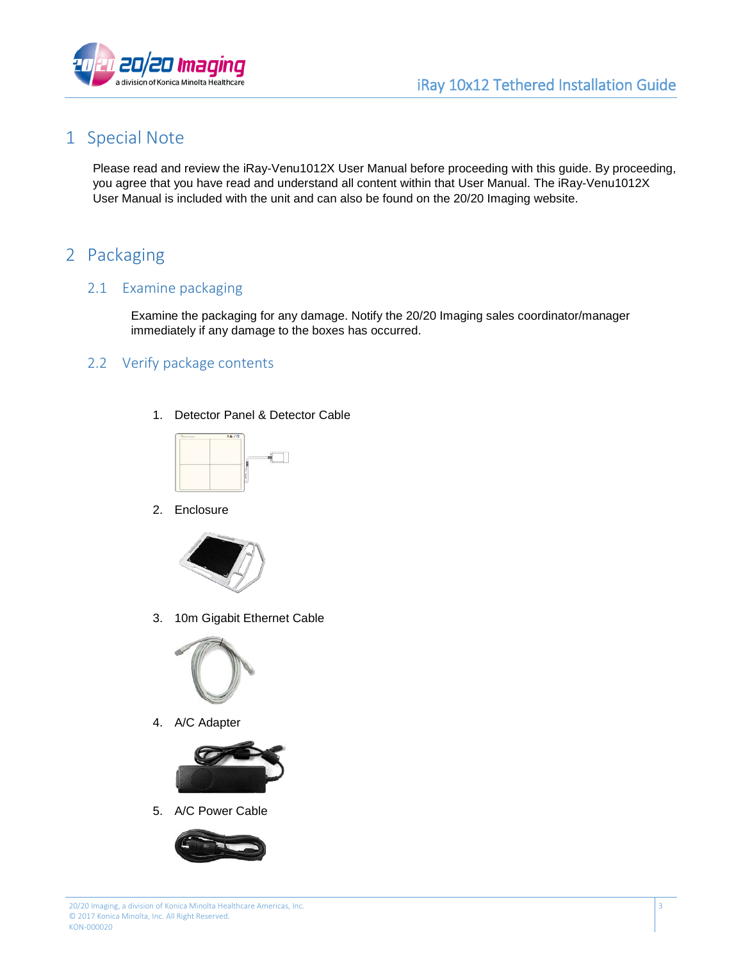3



## <span id="page-2-0"></span>1 Special Note

Please read and review the iRay-Venu1012X User Manual before proceeding with this guide. By proceeding, you agree that you have read and understand all content within that User Manual. The iRay-Venu1012X User Manual is included with the unit and can also be found on the 20/20 Imaging website.

## <span id="page-2-1"></span>2 Packaging

#### <span id="page-2-2"></span>2.1 Examine packaging

Examine the packaging for any damage. Notify the 20/20 Imaging sales coordinator/manager immediately if any damage to the boxes has occurred.

#### <span id="page-2-3"></span>2.2 Verify package contents

1. Detector Panel & Detector Cable



2. Enclosure



3. 10m Gigabit Ethernet Cable



4. A/C Adapter



5. A/C Power Cable

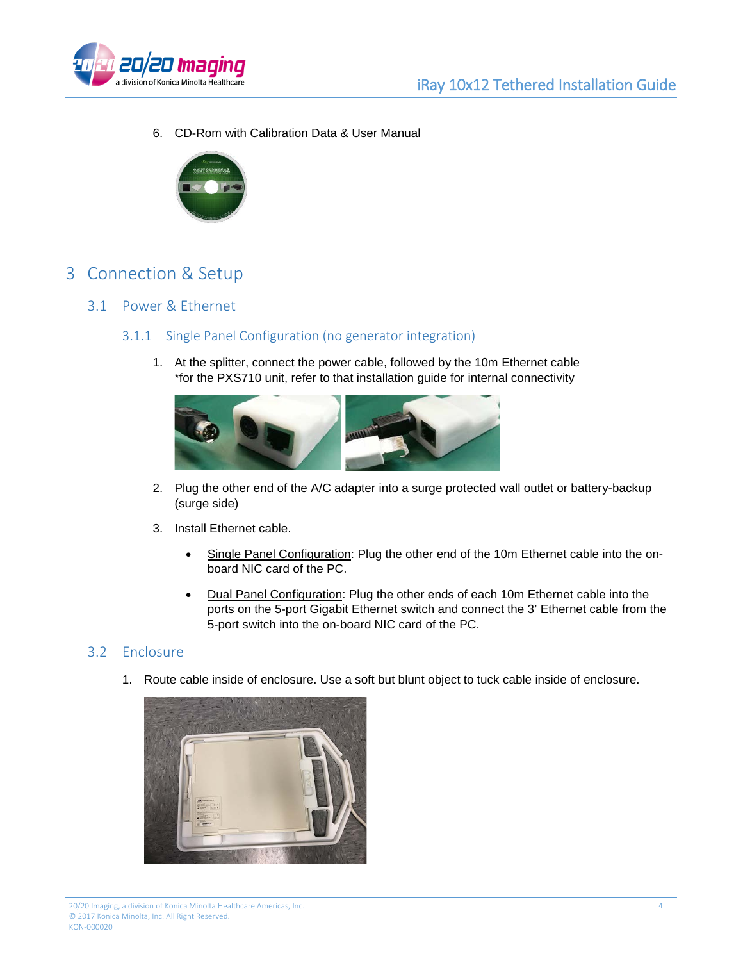

6. CD-Rom with Calibration Data & User Manual



## <span id="page-3-0"></span>3 Connection & Setup

#### <span id="page-3-2"></span><span id="page-3-1"></span>3.1 Power & Ethernet

#### 3.1.1 Single Panel Configuration (no generator integration)

1. At the splitter, connect the power cable, followed by the 10m Ethernet cable \*for the PXS710 unit, refer to that installation guide for internal connectivity



- 2. Plug the other end of the A/C adapter into a surge protected wall outlet or battery-backup (surge side)
- 3. Install Ethernet cable.
	- Single Panel Configuration: Plug the other end of the 10m Ethernet cable into the onboard NIC card of the PC.
	- Dual Panel Configuration: Plug the other ends of each 10m Ethernet cable into the ports on the 5-port Gigabit Ethernet switch and connect the 3' Ethernet cable from the 5-port switch into the on-board NIC card of the PC.

#### <span id="page-3-3"></span>3.2 Enclosure

1. Route cable inside of enclosure. Use a soft but blunt object to tuck cable inside of enclosure.

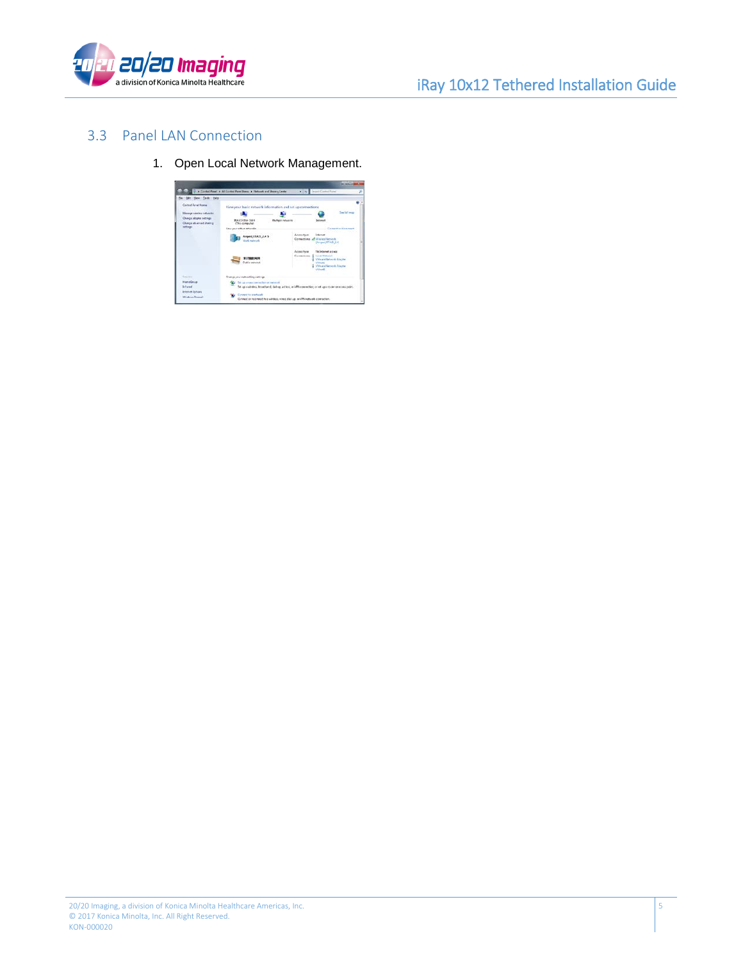

5



#### <span id="page-4-0"></span>3.3 Panel LAN Connection

1. Open Local Network Management.

|                                                                                            | U. a. Contect Panel, a. All Contect Panel Banes, a. Network and Showng Center                                                                                                                                         | 1734 Search Central Paint                                                                                                                                                     |
|--------------------------------------------------------------------------------------------|-----------------------------------------------------------------------------------------------------------------------------------------------------------------------------------------------------------------------|-------------------------------------------------------------------------------------------------------------------------------------------------------------------------------|
| file: Edit: New Tech: Help<br>Cornel Sand Home                                             |                                                                                                                                                                                                                       |                                                                                                                                                                               |
| Measure weeken influence<br>Change adopter nettings<br>Owever advanced sharing<br>nettings | View your basic network information and set up connections<br><b>BAYORDA SWH</b><br>Marketin natuunim<br>(This computer)<br>Video visual della e della color<br>Anged, XIA15, 2.4 5<br><b>County Secretary Secret</b> | <b>See Full more</b><br><b>Introduct</b><br>Connect to Sitchness<br>Access Ripe<br>Internat<br>Connections all illinies Nework<br>(Angel 6745,24)                             |
|                                                                                            | R 270001/HEMI<br><b>Euklic meteority</b>                                                                                                                                                                              | Access hope<br>156 Selamat Jolesia<br><b>Longe Motherwich</b><br>Contactions U<br>V Moure National Adapter<br><b>VMARI</b><br><b>G. Wina's Nework Assater</b><br><b>USert</b> |
| San vice<br>International<br><b>Billiand</b><br><b>Internat Options</b><br>Windows Report  | Change your individual problems<br>To Sit to small contaction of recivoir<br>Connect to a setupal<br>Connect or reconnect to a winters when disk up or UTV notweek connection.                                        | for an excellent formation of debugs at her or VRG connection and an environment retail rela-                                                                                 |